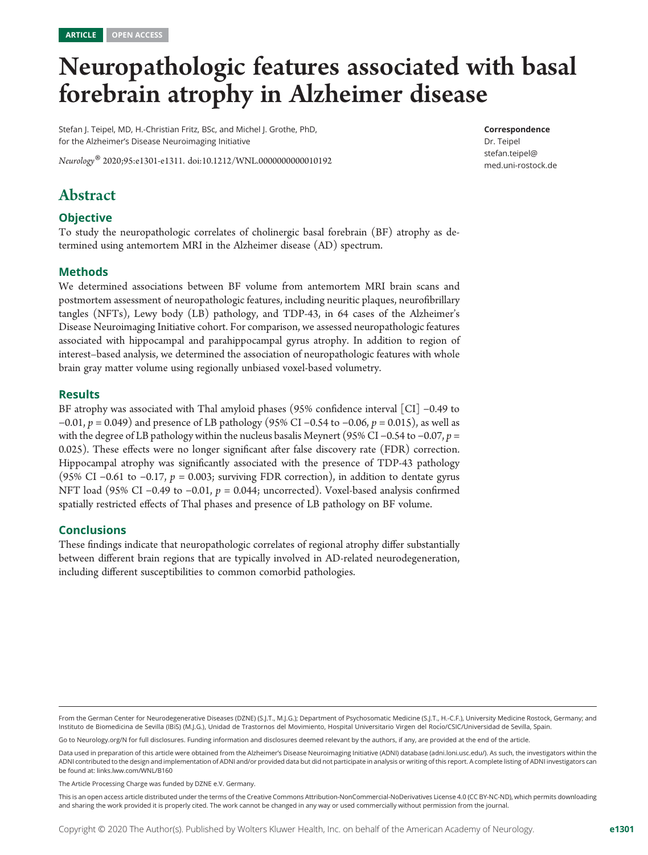# Neuropathologic features associated with basal forebrain atrophy in Alzheimer disease

Stefan J. Teipel, MD, H.-Christian Fritz, BSc, and Michel J. Grothe, PhD, for the Alzheimer's Disease Neuroimaging Initiative

Neurology® 2020;95:e1301-e1311. doi[:10.1212/WNL.0000000000010192](http://dx.doi.org/10.1212/WNL.0000000000010192)

#### Correspondence

Dr. Teipel [stefan.teipel@](mailto:stefan.teipel@med.uni-rostock.de) [med.uni-rostock.de](mailto:stefan.teipel@med.uni-rostock.de)

# Abstract

## **Objective**

To study the neuropathologic correlates of cholinergic basal forebrain (BF) atrophy as determined using antemortem MRI in the Alzheimer disease (AD) spectrum.

## Methods

We determined associations between BF volume from antemortem MRI brain scans and postmortem assessment of neuropathologic features, including neuritic plaques, neurofibrillary tangles (NFTs), Lewy body (LB) pathology, and TDP-43, in 64 cases of the Alzheimer's Disease Neuroimaging Initiative cohort. For comparison, we assessed neuropathologic features associated with hippocampal and parahippocampal gyrus atrophy. In addition to region of interest–based analysis, we determined the association of neuropathologic features with whole brain gray matter volume using regionally unbiased voxel-based volumetry.

#### Results

BF atrophy was associated with Thal amyloid phases (95% confidence interval [CI] −0.49 to  $-0.01$ ,  $p = 0.049$ ) and presence of LB pathology (95% CI  $-0.54$  to  $-0.06$ ,  $p = 0.015$ ), as well as with the degree of LB pathology within the nucleus basalis Meynert (95% CI –0.54 to –0.07,  $p =$ 0.025). These effects were no longer significant after false discovery rate (FDR) correction. Hippocampal atrophy was significantly associated with the presence of TDP-43 pathology (95% CI –0.61 to –0.17,  $p = 0.003$ ; surviving FDR correction), in addition to dentate gyrus NFT load (95% CI −0.49 to −0.01,  $p = 0.044$ ; uncorrected). Voxel-based analysis confirmed spatially restricted effects of Thal phases and presence of LB pathology on BF volume.

#### **Conclusions**

These findings indicate that neuropathologic correlates of regional atrophy differ substantially between different brain regions that are typically involved in AD-related neurodegeneration, including different susceptibilities to common comorbid pathologies.

Go to [Neurology.org/N](https://n.neurology.org/lookup/doi/10.1212/WNL.0000000000010192) for full disclosures. Funding information and disclosures deemed relevant by the authors, if any, are provided at the end of the article.

From the German Center for Neurodegenerative Diseases (DZNE) (S.J.T., M.J.G.); Department of Psychosomatic Medicine (S.J.T., H.-C.F.), University Medicine Rostock, Germany; and Instituto de Biomedicina de Sevilla (IBiS) (M.I.G.), Unidad de Trastornos del Movimiento, Hospital Universitario Virgen del Rocío/CSIC/Universidad de Sevilla, Spain.

Data used in preparation of this article were obtained from the Alzheimer's Disease Neuroimaging Initiative (ADNI) database (adni.loni.usc.edu/). As such, the investigators within the ADNI contributed to the design and implementation of ADNI and/or provided data but did not participate in analysis or writing of this report. A complete listing of ADNI investigators can be found at: [links.lww.com/WNL/B160](http://links.lww.com/WNL/B160)

The Article Processing Charge was funded by DZNE e.V. Germany.

This is an open access article distributed under the terms of the [Creative Commons Attribution-NonCommercial-NoDerivatives License 4.0 \(CC BY-NC-ND\),](http://creativecommons.org/licenses/by-nc-nd/4.0/) which permits downloading and sharing the work provided it is properly cited. The work cannot be changed in any way or used commercially without permission from the journal.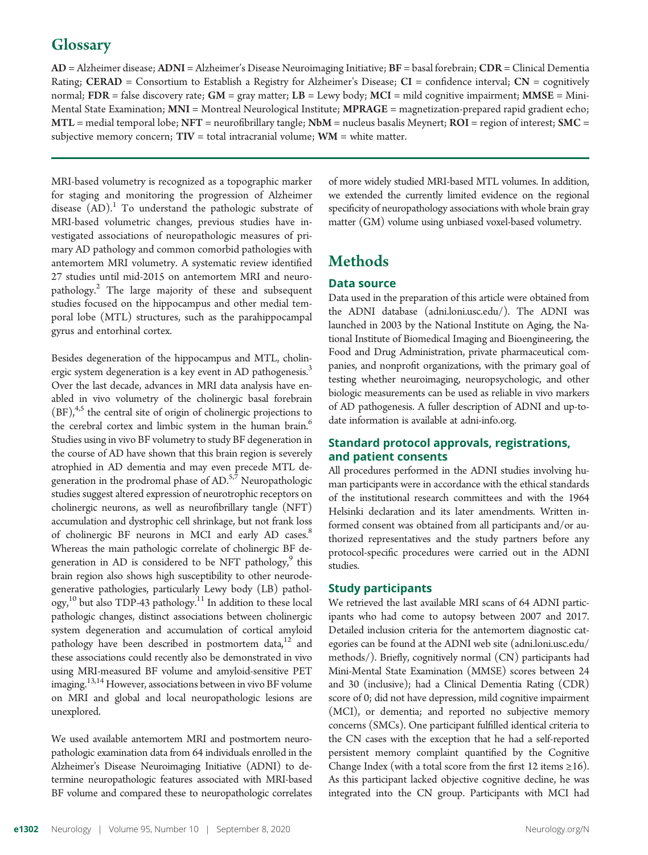# **Glossary**

AD = Alzheimer disease; ADNI = Alzheimer's Disease Neuroimaging Initiative; BF = basal forebrain; CDR = Clinical Dementia Rating; CERAD = Consortium to Establish a Registry for Alzheimer's Disease;  $CI =$  confidence interval;  $CN =$  cognitively normal;  $FDR = false$  discovery rate;  $GM = gray$  matter;  $LB =$  Lewy body;  $MCI =$  mild cognitive impairment;  $MMSE =$  Mini-Mental State Examination; MNI = Montreal Neurological Institute; MPRAGE = magnetization-prepared rapid gradient echo;  $MTL$  = medial temporal lobe;  $NFT$  = neurofibrillary tangle;  $Nbm$  = nucleus basalis Meynert;  $ROI$  = region of interest;  $SMC$  = subjective memory concern;  $TIV =$  total intracranial volume;  $WM =$  white matter.

MRI-based volumetry is recognized as a topographic marker for staging and monitoring the progression of Alzheimer disease  $(AD)$ .<sup>1</sup> To understand the pathologic substrate of MRI-based volumetric changes, previous studies have investigated associations of neuropathologic measures of primary AD pathology and common comorbid pathologies with antemortem MRI volumetry. A systematic review identified 27 studies until mid-2015 on antemortem MRI and neuropathology.<sup>2</sup> The large majority of these and subsequent studies focused on the hippocampus and other medial temporal lobe (MTL) structures, such as the parahippocampal gyrus and entorhinal cortex.

Besides degeneration of the hippocampus and MTL, cholinergic system degeneration is a key event in AD pathogenesis.<sup>3</sup> Over the last decade, advances in MRI data analysis have enabled in vivo volumetry of the cholinergic basal forebrain  $(BF)$ ,<sup>4,5</sup> the central site of origin of cholinergic projections to the cerebral cortex and limbic system in the human brain.<sup>6</sup> Studies using in vivo BF volumetry to study BF degeneration in the course of AD have shown that this brain region is severely atrophied in AD dementia and may even precede MTL degeneration in the prodromal phase of  $AD<sub>57</sub>$  Neuropathologic studies suggest altered expression of neurotrophic receptors on cholinergic neurons, as well as neurofibrillary tangle (NFT) accumulation and dystrophic cell shrinkage, but not frank loss of cholinergic BF neurons in MCI and early AD cases.<sup>8</sup> Whereas the main pathologic correlate of cholinergic BF degeneration in AD is considered to be NFT pathology, $9$  this brain region also shows high susceptibility to other neurodegenerative pathologies, particularly Lewy body (LB) pathology,<sup>10</sup> but also TDP-43 pathology.<sup>11</sup> In addition to these local pathologic changes, distinct associations between cholinergic system degeneration and accumulation of cortical amyloid pathology have been described in postmortem data, $12$  and these associations could recently also be demonstrated in vivo using MRI-measured BF volume and amyloid-sensitive PET imaging.<sup>13,14</sup> However, associations between in vivo BF volume on MRI and global and local neuropathologic lesions are unexplored.

We used available antemortem MRI and postmortem neuropathologic examination data from 64 individuals enrolled in the Alzheimer's Disease Neuroimaging Initiative (ADNI) to determine neuropathologic features associated with MRI-based BF volume and compared these to neuropathologic correlates

of more widely studied MRI-based MTL volumes. In addition, we extended the currently limited evidence on the regional specificity of neuropathology associations with whole brain gray matter (GM) volume using unbiased voxel-based volumetry.

# **Methods**

# Data source

Data used in the preparation of this article were obtained from the ADNI database [\(adni.loni.usc.edu/](http://adni.loni.usc.edu/)). The ADNI was launched in 2003 by the National Institute on Aging, the National Institute of Biomedical Imaging and Bioengineering, the Food and Drug Administration, private pharmaceutical companies, and nonprofit organizations, with the primary goal of testing whether neuroimaging, neuropsychologic, and other biologic measurements can be used as reliable in vivo markers of AD pathogenesis. A fuller description of ADNI and up-todate information is available at [adni-info.org](http://www.adni-info.org/).

# Standard protocol approvals, registrations, and patient consents

All procedures performed in the ADNI studies involving human participants were in accordance with the ethical standards of the institutional research committees and with the 1964 Helsinki declaration and its later amendments. Written informed consent was obtained from all participants and/or authorized representatives and the study partners before any protocol-specific procedures were carried out in the ADNI studies.

## Study participants

We retrieved the last available MRI scans of 64 ADNI participants who had come to autopsy between 2007 and 2017. Detailed inclusion criteria for the antemortem diagnostic categories can be found at the ADNI web site ([adni.loni.usc.edu/](http://adni.loni.usc.edu/methods/) [methods/](http://adni.loni.usc.edu/methods/)). Briefly, cognitively normal (CN) participants had Mini-Mental State Examination (MMSE) scores between 24 and 30 (inclusive); had a Clinical Dementia Rating (CDR) score of 0; did not have depression, mild cognitive impairment (MCI), or dementia; and reported no subjective memory concerns (SMCs). One participant fulfilled identical criteria to the CN cases with the exception that he had a self-reported persistent memory complaint quantified by the Cognitive Change Index (with a total score from the first 12 items  $\geq 16$ ). As this participant lacked objective cognitive decline, he was integrated into the CN group. Participants with MCI had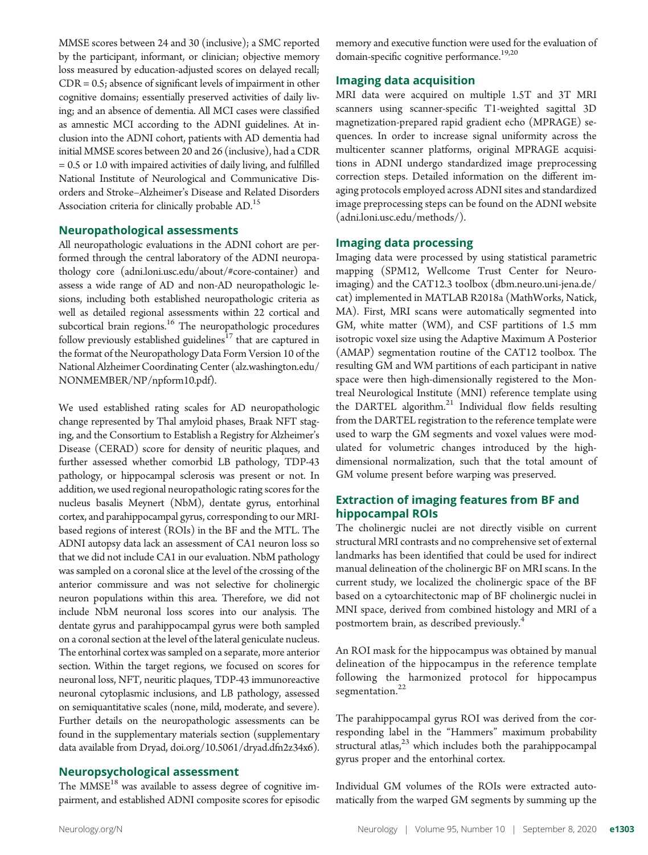MMSE scores between 24 and 30 (inclusive); a SMC reported by the participant, informant, or clinician; objective memory loss measured by education-adjusted scores on delayed recall; CDR = 0.5; absence of significant levels of impairment in other cognitive domains; essentially preserved activities of daily living; and an absence of dementia. All MCI cases were classified as amnestic MCI according to the ADNI guidelines. At inclusion into the ADNI cohort, patients with AD dementia had initial MMSE scores between 20 and 26 (inclusive), had a CDR = 0.5 or 1.0 with impaired activities of daily living, and fulfilled National Institute of Neurological and Communicative Disorders and Stroke–Alzheimer's Disease and Related Disorders Association criteria for clinically probable AD.<sup>15</sup>

# Neuropathological assessments

All neuropathologic evaluations in the ADNI cohort are performed through the central laboratory of the ADNI neuropathology core [\(adni.loni.usc.edu/about/#core-container](http://adni.loni.usc.edu/about/)) and assess a wide range of AD and non-AD neuropathologic lesions, including both established neuropathologic criteria as well as detailed regional assessments within 22 cortical and subcortical brain regions.<sup>16</sup> The neuropathologic procedures follow previously established guidelines<sup>17</sup> that are captured in the format of the Neuropathology Data Form Version 10 of the National Alzheimer Coordinating Center ([alz.washington.edu/](https://www.alz.washington.edu/NONMEMBER/NP/npform10.pdf) [NONMEMBER/NP/npform10.pdf\)](https://www.alz.washington.edu/NONMEMBER/NP/npform10.pdf).

We used established rating scales for AD neuropathologic change represented by Thal amyloid phases, Braak NFT staging, and the Consortium to Establish a Registry for Alzheimer's Disease (CERAD) score for density of neuritic plaques, and further assessed whether comorbid LB pathology, TDP-43 pathology, or hippocampal sclerosis was present or not. In addition, we used regional neuropathologic rating scores for the nucleus basalis Meynert (NbM), dentate gyrus, entorhinal cortex, and parahippocampal gyrus, corresponding to our MRIbased regions of interest (ROIs) in the BF and the MTL. The ADNI autopsy data lack an assessment of CA1 neuron loss so that we did not include CA1 in our evaluation. NbM pathology was sampled on a coronal slice at the level of the crossing of the anterior commissure and was not selective for cholinergic neuron populations within this area. Therefore, we did not include NbM neuronal loss scores into our analysis. The dentate gyrus and parahippocampal gyrus were both sampled on a coronal section at the level of the lateral geniculate nucleus. The entorhinal cortex was sampled on a separate, more anterior section. Within the target regions, we focused on scores for neuronal loss, NFT, neuritic plaques, TDP-43 immunoreactive neuronal cytoplasmic inclusions, and LB pathology, assessed on semiquantitative scales (none, mild, moderate, and severe). Further details on the neuropathologic assessments can be found in the supplementary materials section (supplementary data available from Dryad, [doi.org/10.5061/dryad.dfn2z34x6\)](https://doi.org/10.5061/dryad.dfn2z34x6).

# Neuropsychological assessment

The MMSE<sup>18</sup> was available to assess degree of cognitive impairment, and established ADNI composite scores for episodic memory and executive function were used for the evaluation of domain-specific cognitive performance.<sup>19,20</sup>

# Imaging data acquisition

MRI data were acquired on multiple 1.5T and 3T MRI scanners using scanner-specific T1-weighted sagittal 3D magnetization-prepared rapid gradient echo (MPRAGE) sequences. In order to increase signal uniformity across the multicenter scanner platforms, original MPRAGE acquisitions in ADNI undergo standardized image preprocessing correction steps. Detailed information on the different imaging protocols employed across ADNI sites and standardized image preprocessing steps can be found on the ADNI website ([adni.loni.usc.edu/methods/\)](http://adni.loni.usc.edu/methods/).

## Imaging data processing

Imaging data were processed by using statistical parametric mapping (SPM12, Wellcome Trust Center for Neuroimaging) and the CAT12.3 toolbox ([dbm.neuro.uni-jena.de/](http://dbm.neuro.uni-jena.de/cat) [cat](http://dbm.neuro.uni-jena.de/cat)) implemented in MATLAB R2018a (MathWorks, Natick, MA). First, MRI scans were automatically segmented into GM, white matter (WM), and CSF partitions of 1.5 mm isotropic voxel size using the Adaptive Maximum A Posterior (AMAP) segmentation routine of the CAT12 toolbox. The resulting GM and WM partitions of each participant in native space were then high-dimensionally registered to the Montreal Neurological Institute (MNI) reference template using the DARTEL algorithm.<sup>21</sup> Individual flow fields resulting from the DARTEL registration to the reference template were used to warp the GM segments and voxel values were modulated for volumetric changes introduced by the highdimensional normalization, such that the total amount of GM volume present before warping was preserved.

# Extraction of imaging features from BF and hippocampal ROIs

The cholinergic nuclei are not directly visible on current structural MRI contrasts and no comprehensive set of external landmarks has been identified that could be used for indirect manual delineation of the cholinergic BF on MRI scans. In the current study, we localized the cholinergic space of the BF based on a cytoarchitectonic map of BF cholinergic nuclei in MNI space, derived from combined histology and MRI of a postmortem brain, as described previously.<sup>4</sup>

An ROI mask for the hippocampus was obtained by manual delineation of the hippocampus in the reference template following the harmonized protocol for hippocampus segmentation.<sup>22</sup>

The parahippocampal gyrus ROI was derived from the corresponding label in the "Hammers" maximum probability structural atlas, $^{23}$  which includes both the parahippocampal gyrus proper and the entorhinal cortex.

Individual GM volumes of the ROIs were extracted automatically from the warped GM segments by summing up the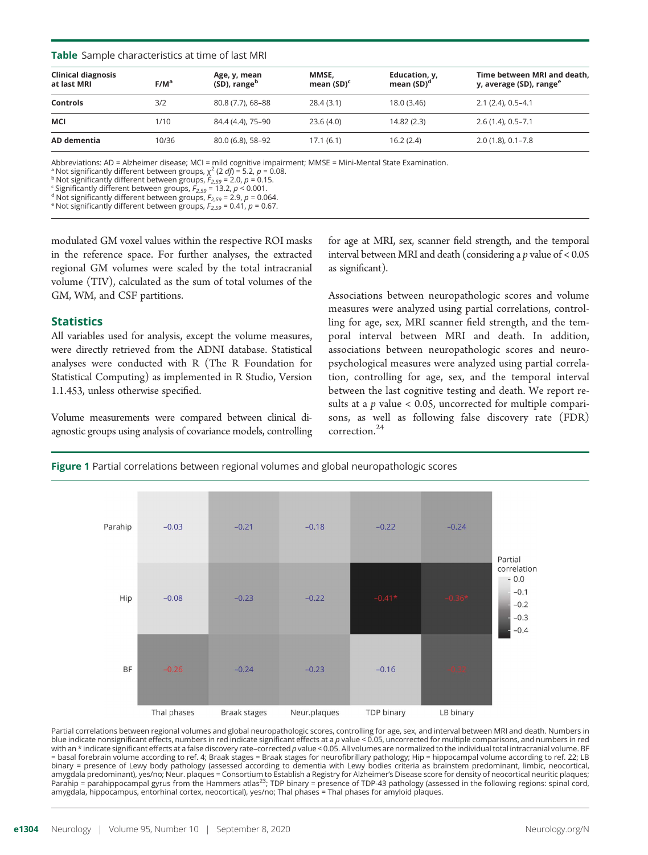#### **Table** Sample characteristics at time of last MRI

| <b>Clinical diagnosis</b><br>at last MRI | $F/M^a$ | Age, y, mean<br>(SD), range <sup>b</sup> | MMSE,<br>mean $(SD)^c$ | Education, y,<br>mean $(SD)^d$ | Time between MRI and death,<br>y, average (SD), range <sup>e</sup> |
|------------------------------------------|---------|------------------------------------------|------------------------|--------------------------------|--------------------------------------------------------------------|
| <b>Controls</b>                          | 3/2     | 80.8 (7.7), 68-88                        | 28.4(3.1)              | 18.0 (3.46)                    | $2.1(2.4), 0.5 - 4.1$                                              |
| MCI                                      | 1/10    | 84.4 (4.4), 75-90                        | 23.6(4.0)              | 14.82(2.3)                     | $2.6(1.4), 0.5 - 7.1$                                              |
| AD dementia                              | 10/36   | 80.0 (6.8), 58-92                        | 17.1(6.1)              | 16.2(2.4)                      | $2.0(1.8), 0.1 - 7.8$                                              |

Abbreviations: AD = Alzheimer disease; MCI = mild cognitive impairment; MMSE = Mini-Mental State Examination.

e Not significantly different between groups,  $F_{2,59} = 0.41$ ,  $p = 0.67$ .

modulated GM voxel values within the respective ROI masks in the reference space. For further analyses, the extracted regional GM volumes were scaled by the total intracranial volume (TIV), calculated as the sum of total volumes of the GM, WM, and CSF partitions.

# Statistics

All variables used for analysis, except the volume measures, were directly retrieved from the ADNI database. Statistical analyses were conducted with R (The R Foundation for Statistical Computing) as implemented in R Studio, Version 1.1.453, unless otherwise specified.

Volume measurements were compared between clinical diagnostic groups using analysis of covariance models, controlling for age at MRI, sex, scanner field strength, and the temporal interval between MRI and death (considering a  $p$  value of < 0.05 as significant).

Associations between neuropathologic scores and volume measures were analyzed using partial correlations, controlling for age, sex, MRI scanner field strength, and the temporal interval between MRI and death. In addition, associations between neuropathologic scores and neuropsychological measures were analyzed using partial correlation, controlling for age, sex, and the temporal interval between the last cognitive testing and death. We report results at a  $p$  value < 0.05, uncorrected for multiple comparisons, as well as following false discovery rate (FDR) correction.<sup>24</sup>





Partial correlations between regional volumes and global neuropathologic scores, controlling for age, sex, and interval between MRI and death. Numbers in blue indicate nonsignificant effects, numbers in red indicate significant effects at a *p* value < 0.05, uncorrected for multiple comparisons, and numbers in red<br>with an \* indicate significant effects at a false discovery = basal forebrain volume according to ref. 4; Braak stages = Braak stages for neurofibrillary pathology; Hip = hippocampal volume according to ref. 22; LB binary = presence of Lewy body pathology (assessed according to dementia with Lewy bodies criteria as brainstem predominant, limbic, neocortical, amygdala predominant), yes/no; Neur. plaques = Consortium to Establish a Registry for Alzheimer's Disease score for density of neocortical neuritic plaques; Parahip = parahippocampal gyrus from the Hammers atlas<sup>23</sup>; TDP binary = presence of TDP-43 pathology (assessed in the following regions: spinal cord, amygdala, hippocampus, entorhinal cortex, neocortical), yes/no; Thal phases = Thal phases for amyloid plaques.

<sup>&</sup>lt;sup>a</sup> Not significantly different between groups,  $\chi^2$  (2 *df*) = 5.2, *p* = 0.08.<br><sup>b</sup> Not significantly different between groups,  $F_{2,59}$  = 2.0, *p* = 0.15.<br><sup>c</sup> Significantly different between groups,  $F_{2,59}$  = 13.2,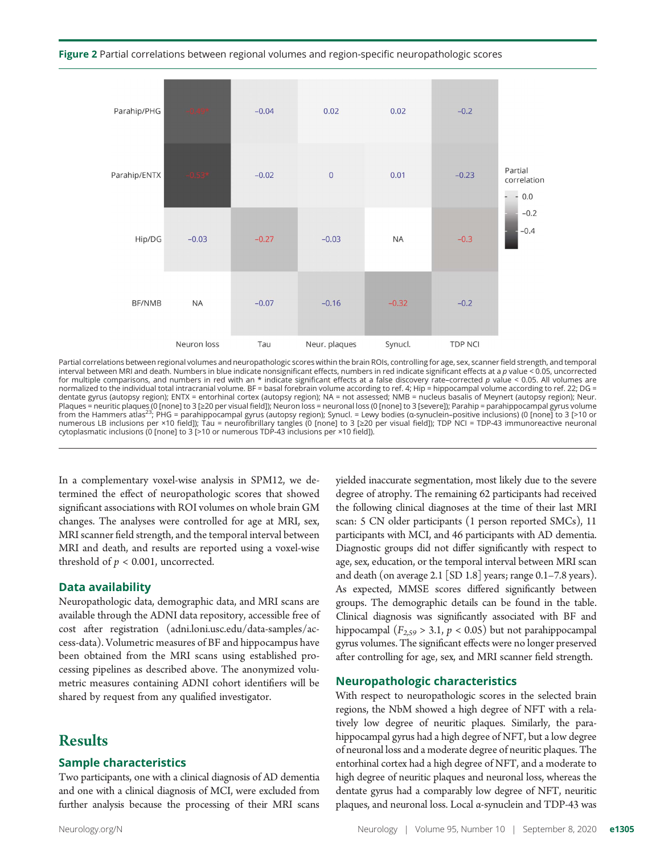



Partial correlations between regional volumes and neuropathologic scores within the brain ROIs, controlling for age, sex, scanner field strength, and temporal interval between MRI and death. Numbers in blue indicate nonsignificant effects, numbers in red indicate significant effects at a p value < 0.05, uncorrected<br>for multiple comparisons, and numbers in red with an \* indicate normalized to the individual total intracranial volume. BF = basal forebrain volume according to ref. 4; Hip = hippocampal volume according to ref. 22; DG = dentate gyrus (autopsy region); ENTX = entorhinal cortex (autopsy region); NA = not assessed; NMB = nucleus basalis of Meynert (autopsy region); Neur. Plaques = neuritic plaques (0 [none] to 3 [≥20 per visual field]); Neuron loss = neuronal loss (0 [none] to 3 [severe]); Parahip = parahippocampal gyrus volume<br>from the Hammers atlas<sup>23</sup>; PHG = parahippocampal gyrus (aut numerous LB inclusions per ×10 field]); Tau = neurofibrillary tangles (0 [none] to 3 [≥20 per visual field]); TDP NCI = TDP-43 immunoreactive neuronal cytoplasmatic inclusions (0 [none] to 3 [>10 or numerous TDP-43 inclusions per ×10 field]).

In a complementary voxel-wise analysis in SPM12, we determined the effect of neuropathologic scores that showed significant associations with ROI volumes on whole brain GM changes. The analyses were controlled for age at MRI, sex, MRI scanner field strength, and the temporal interval between MRI and death, and results are reported using a voxel-wise threshold of  $p < 0.001$ , uncorrected.

#### Data availability

Neuropathologic data, demographic data, and MRI scans are available through the ADNI data repository, accessible free of cost after registration ([adni.loni.usc.edu/data-samples/ac](http://adni.loni.usc.edu/data-samples/access-data)[cess-data\)](http://adni.loni.usc.edu/data-samples/access-data). Volumetric measures of BF and hippocampus have been obtained from the MRI scans using established processing pipelines as described above. The anonymized volumetric measures containing ADNI cohort identifiers will be shared by request from any qualified investigator.

# Results

## Sample characteristics

Two participants, one with a clinical diagnosis of AD dementia and one with a clinical diagnosis of MCI, were excluded from further analysis because the processing of their MRI scans yielded inaccurate segmentation, most likely due to the severe degree of atrophy. The remaining 62 participants had received the following clinical diagnoses at the time of their last MRI scan: 5 CN older participants (1 person reported SMCs), 11 participants with MCI, and 46 participants with AD dementia. Diagnostic groups did not differ significantly with respect to age, sex, education, or the temporal interval between MRI scan and death (on average 2.1 [SD 1.8] years; range 0.1–7.8 years). As expected, MMSE scores differed significantly between groups. The demographic details can be found in the table. Clinical diagnosis was significantly associated with BF and hippocampal  $(F_{2,59} > 3.1, p < 0.05)$  but not parahippocampal gyrus volumes. The significant effects were no longer preserved after controlling for age, sex, and MRI scanner field strength.

#### Neuropathologic characteristics

With respect to neuropathologic scores in the selected brain regions, the NbM showed a high degree of NFT with a relatively low degree of neuritic plaques. Similarly, the parahippocampal gyrus had a high degree of NFT, but a low degree of neuronal loss and a moderate degree of neuritic plaques. The entorhinal cortex had a high degree of NFT, and a moderate to high degree of neuritic plaques and neuronal loss, whereas the dentate gyrus had a comparably low degree of NFT, neuritic plaques, and neuronal loss. Local α-synuclein and TDP-43 was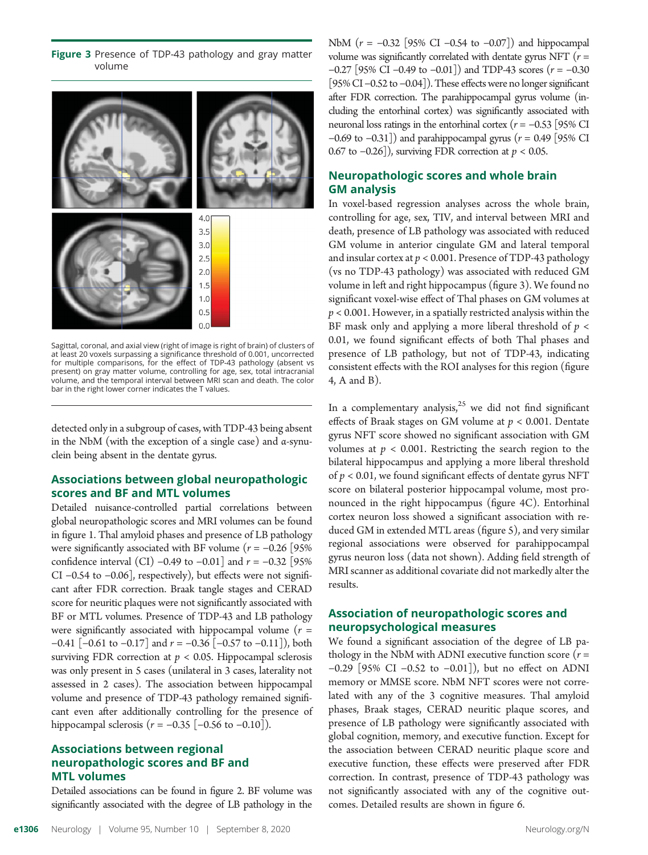Figure 3 Presence of TDP-43 pathology and gray matter volume



Sagittal, coronal, and axial view (right of image is right of brain) of clusters of at least 20 voxels surpassing a significance threshold of 0.001, uncorrected for multiple comparisons, for the effect of TDP-43 pathology (absent vs present) on gray matter volume, controlling for age, sex, total intracranial volume, and the temporal interval between MRI scan and death. The color bar in the right lower corner indicates the T values.

detected only in a subgroup of cases, with TDP-43 being absent in the NbM (with the exception of a single case) and  $\alpha$ -synuclein being absent in the dentate gyrus.

# Associations between global neuropathologic scores and BF and MTL volumes

Detailed nuisance-controlled partial correlations between global neuropathologic scores and MRI volumes can be found in figure 1. Thal amyloid phases and presence of LB pathology were significantly associated with BF volume ( $r = -0.26$  [95% confidence interval (CI) –0.49 to –0.01] and  $r = -0.32$  [95% CI −0.54 to −0.06], respectively), but effects were not significant after FDR correction. Braak tangle stages and CERAD score for neuritic plaques were not significantly associated with BF or MTL volumes. Presence of TDP-43 and LB pathology were significantly associated with hippocampal volume  $(r =$  $-0.41$  [ $-0.61$  to  $-0.17$ ] and  $r = -0.36$  [ $-0.57$  to  $-0.11$ ]), both surviving FDR correction at  $p < 0.05$ . Hippocampal sclerosis was only present in 5 cases (unilateral in 3 cases, laterality not assessed in 2 cases). The association between hippocampal volume and presence of TDP-43 pathology remained significant even after additionally controlling for the presence of hippocampal sclerosis ( $r = -0.35$  [ $-0.56$  to  $-0.10$ ]).

# Associations between regional neuropathologic scores and BF and MTL volumes

Detailed associations can be found in figure 2. BF volume was significantly associated with the degree of LB pathology in the NbM ( $r = -0.32$  [95% CI −0.54 to −0.07]) and hippocampal volume was significantly correlated with dentate gyrus NFT ( $r =$ <sup>−</sup>0.27 [95% CI <sup>−</sup>0.49 to <sup>−</sup>0.01]) and TDP-43 scores (r <sup>=</sup> <sup>−</sup>0.30 [95% CI –0.52 to –0.04]). These effects were no longer significant after FDR correction. The parahippocampal gyrus volume (including the entorhinal cortex) was significantly associated with neuronal loss ratings in the entorhinal cortex ( $r = −0.53$  [95% CI −0.69 to −0.31]) and parahippocampal gyrus ( $r = 0.49$  [95% CI 0.67 to  $-0.26$ ]), surviving FDR correction at  $p < 0.05$ .

# Neuropathologic scores and whole brain GM analysis

In voxel-based regression analyses across the whole brain, controlling for age, sex, TIV, and interval between MRI and death, presence of LB pathology was associated with reduced GM volume in anterior cingulate GM and lateral temporal and insular cortex at  $p < 0.001$ . Presence of TDP-43 pathology (vs no TDP-43 pathology) was associated with reduced GM volume in left and right hippocampus (figure 3). We found no significant voxel-wise effect of Thal phases on GM volumes at  $p < 0.001$ . However, in a spatially restricted analysis within the BF mask only and applying a more liberal threshold of  $p <$ 0.01, we found significant effects of both Thal phases and presence of LB pathology, but not of TDP-43, indicating consistent effects with the ROI analyses for this region (figure 4, A and B).

In a complementary analysis, $25$  we did not find significant effects of Braak stages on GM volume at  $p < 0.001$ . Dentate gyrus NFT score showed no significant association with GM volumes at  $p < 0.001$ . Restricting the search region to the bilateral hippocampus and applying a more liberal threshold of  $p < 0.01$ , we found significant effects of dentate gyrus NFT score on bilateral posterior hippocampal volume, most pronounced in the right hippocampus (figure 4C). Entorhinal cortex neuron loss showed a significant association with reduced GM in extended MTL areas (figure 5), and very similar regional associations were observed for parahippocampal gyrus neuron loss (data not shown). Adding field strength of MRI scanner as additional covariate did not markedly alter the results.

# Association of neuropathologic scores and neuropsychological measures

We found a significant association of the degree of LB pathology in the NbM with ADNI executive function score  $(r =$ −0.29 [95% CI −0.52 to −0.01]), but no effect on ADNI memory or MMSE score. NbM NFT scores were not correlated with any of the 3 cognitive measures. Thal amyloid phases, Braak stages, CERAD neuritic plaque scores, and presence of LB pathology were significantly associated with global cognition, memory, and executive function. Except for the association between CERAD neuritic plaque score and executive function, these effects were preserved after FDR correction. In contrast, presence of TDP-43 pathology was not significantly associated with any of the cognitive outcomes. Detailed results are shown in figure 6.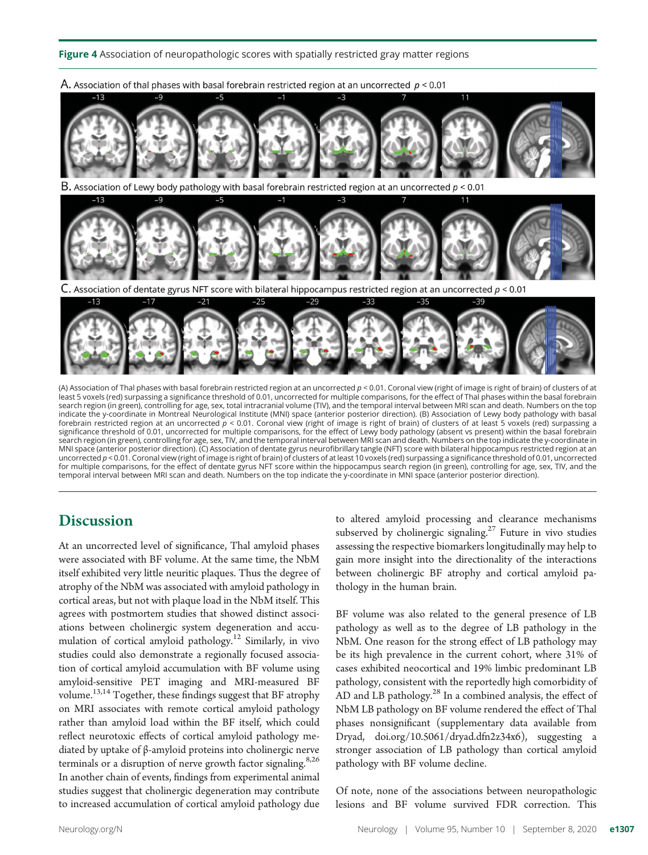Figure 4 Association of neuropathologic scores with spatially restricted gray matter regions



(A) Association of Thal phases with basal forebrain restricted region at an uncorrected  $p < 0.01$ . Coronal view (right of image is right of brain) of clusters of at least 5 voxels (red) surpassing a significance threshold of 0.01, uncorrected for multiple comparisons, for the effect of Thal phases within the basal forebrain search region (in green), controlling for age, sex, total intracranial volume (TIV), and the temporal interval between MRI scan and death. Numbers on the top indicate the y-coordinate in Montreal Neurological Institute (MNI) space (anterior posterior direction). (B) Association of Lewy body pathology with basal forebrain restricted region at an uncorrected  $p < 0.01$ . Coronal view (right of image is right of brain) of clusters of at least 5 voxels (red) surpassing a significance threshold of 0.01, uncorrected for multiple comparisons, for the effect of Lewy body pathology (absent vs present) within the basal forebrain search region (in green), controlling for age, sex, TIV, and the temporal interval between MRI scan and death. Numbers on the top indicate the y-coordinate in MNI space (anterior posterior direction). (C) Association of dentate gyrus neurofibrillary tangle (NFT) score with bilateral hippocampus restricted region at an uncorrected  $p < 0.01$ . Coronal view (right of image is right of brain) of clusters of at least 10 voxels (red) surpassing a significance threshold of 0.01, uncorrected for multiple comparisons, for the effect of dentate gyrus NFT score within the hippocampus search region (in green), controlling for age, sex, TIV, and the temporal interval between MRI scan and death. Numbers on the top indicate the y-coordinate in MNI space (anterior posterior direction).

# **Discussion**

At an uncorrected level of significance, Thal amyloid phases were associated with BF volume. At the same time, the NbM itself exhibited very little neuritic plaques. Thus the degree of atrophy of the NbM was associated with amyloid pathology in cortical areas, but not with plaque load in the NbM itself. This agrees with postmortem studies that showed distinct associations between cholinergic system degeneration and accumulation of cortical amyloid pathology.<sup>12</sup> Similarly, in vivo studies could also demonstrate a regionally focused association of cortical amyloid accumulation with BF volume using amyloid-sensitive PET imaging and MRI-measured BF volume.13,14 Together, these findings suggest that BF atrophy on MRI associates with remote cortical amyloid pathology rather than amyloid load within the BF itself, which could reflect neurotoxic effects of cortical amyloid pathology mediated by uptake of β-amyloid proteins into cholinergic nerve terminals or a disruption of nerve growth factor signaling.<sup>8,26</sup> In another chain of events, findings from experimental animal studies suggest that cholinergic degeneration may contribute to increased accumulation of cortical amyloid pathology due to altered amyloid processing and clearance mechanisms subserved by cholinergic signaling.<sup>27</sup> Future in vivo studies assessing the respective biomarkers longitudinally may help to gain more insight into the directionality of the interactions between cholinergic BF atrophy and cortical amyloid pathology in the human brain.

BF volume was also related to the general presence of LB pathology as well as to the degree of LB pathology in the NbM. One reason for the strong effect of LB pathology may be its high prevalence in the current cohort, where 31% of cases exhibited neocortical and 19% limbic predominant LB pathology, consistent with the reportedly high comorbidity of AD and LB pathology. $^{28}$  In a combined analysis, the effect of NbM LB pathology on BF volume rendered the effect of Thal phases nonsignificant (supplementary data available from Dryad, [doi.org/10.5061/dryad.dfn2z34x6](https://doi.org/10.5061/dryad.dfn2z34x6)), suggesting a stronger association of LB pathology than cortical amyloid pathology with BF volume decline.

Of note, none of the associations between neuropathologic lesions and BF volume survived FDR correction. This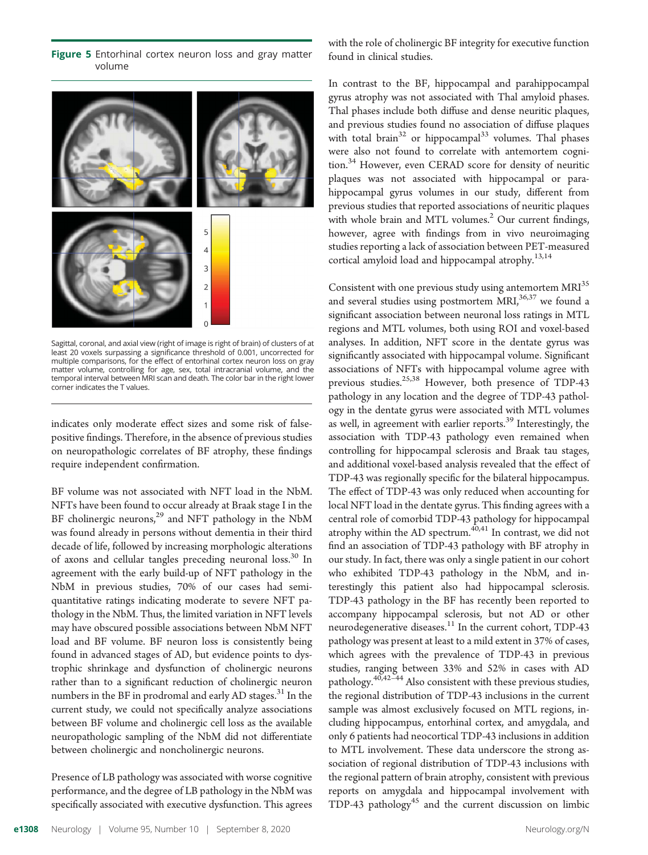Figure 5 Entorhinal cortex neuron loss and gray matter volume



Sagittal, coronal, and axial view (right of image is right of brain) of clusters of at least 20 voxels surpassing a significance threshold of 0.001, uncorrected for multiple comparisons, for the effect of entorhinal cortex neuron loss on gray matter volume, controlling for age, sex, total intracranial volume, and the temporal interval between MRI scan and death. The color bar in the right lower corner indicates the T values.

indicates only moderate effect sizes and some risk of falsepositive findings. Therefore, in the absence of previous studies on neuropathologic correlates of BF atrophy, these findings require independent confirmation.

BF volume was not associated with NFT load in the NbM. NFTs have been found to occur already at Braak stage I in the BF cholinergic neurons,<sup>29</sup> and NFT pathology in the NbM was found already in persons without dementia in their third decade of life, followed by increasing morphologic alterations of axons and cellular tangles preceding neuronal loss.<sup>30</sup> In agreement with the early build-up of NFT pathology in the NbM in previous studies, 70% of our cases had semiquantitative ratings indicating moderate to severe NFT pathology in the NbM. Thus, the limited variation in NFT levels may have obscured possible associations between NbM NFT load and BF volume. BF neuron loss is consistently being found in advanced stages of AD, but evidence points to dystrophic shrinkage and dysfunction of cholinergic neurons rather than to a significant reduction of cholinergic neuron numbers in the BF in prodromal and early AD stages.<sup>31</sup> In the current study, we could not specifically analyze associations between BF volume and cholinergic cell loss as the available neuropathologic sampling of the NbM did not differentiate between cholinergic and noncholinergic neurons.

Presence of LB pathology was associated with worse cognitive performance, and the degree of LB pathology in the NbM was specifically associated with executive dysfunction. This agrees with the role of cholinergic BF integrity for executive function found in clinical studies.

In contrast to the BF, hippocampal and parahippocampal gyrus atrophy was not associated with Thal amyloid phases. Thal phases include both diffuse and dense neuritic plaques, and previous studies found no association of diffuse plaques with total brain<sup>32</sup> or hippocampal<sup>33</sup> volumes. Thal phases were also not found to correlate with antemortem cognition.<sup>34</sup> However, even CERAD score for density of neuritic plaques was not associated with hippocampal or parahippocampal gyrus volumes in our study, different from previous studies that reported associations of neuritic plaques with whole brain and MTL volumes.<sup>2</sup> Our current findings, however, agree with findings from in vivo neuroimaging studies reporting a lack of association between PET-measured cortical amyloid load and hippocampal atrophy.<sup>13,14</sup>

Consistent with one previous study using antemortem MRI<sup>35</sup> and several studies using postmortem  $MRI$ ,<sup>36,37</sup> we found a significant association between neuronal loss ratings in MTL regions and MTL volumes, both using ROI and voxel-based analyses. In addition, NFT score in the dentate gyrus was significantly associated with hippocampal volume. Significant associations of NFTs with hippocampal volume agree with previous studies.<sup>25,38</sup> However, both presence of TDP-43 pathology in any location and the degree of TDP-43 pathology in the dentate gyrus were associated with MTL volumes as well, in agreement with earlier reports.<sup>39</sup> Interestingly, the association with TDP-43 pathology even remained when controlling for hippocampal sclerosis and Braak tau stages, and additional voxel-based analysis revealed that the effect of TDP-43 was regionally specific for the bilateral hippocampus. The effect of TDP-43 was only reduced when accounting for local NFT load in the dentate gyrus. This finding agrees with a central role of comorbid TDP-43 pathology for hippocampal atrophy within the AD spectrum. $40,41$  In contrast, we did not find an association of TDP-43 pathology with BF atrophy in our study. In fact, there was only a single patient in our cohort who exhibited TDP-43 pathology in the NbM, and interestingly this patient also had hippocampal sclerosis. TDP-43 pathology in the BF has recently been reported to accompany hippocampal sclerosis, but not AD or other neurodegenerative diseases.<sup>11</sup> In the current cohort, TDP-43 pathology was present at least to a mild extent in 37% of cases, which agrees with the prevalence of TDP-43 in previous studies, ranging between 33% and 52% in cases with AD pathology.<sup>40,42–44</sup> Also consistent with these previous studies, the regional distribution of TDP-43 inclusions in the current sample was almost exclusively focused on MTL regions, including hippocampus, entorhinal cortex, and amygdala, and only 6 patients had neocortical TDP-43 inclusions in addition to MTL involvement. These data underscore the strong association of regional distribution of TDP-43 inclusions with the regional pattern of brain atrophy, consistent with previous reports on amygdala and hippocampal involvement with TDP-43 pathology<sup>45</sup> and the current discussion on limbic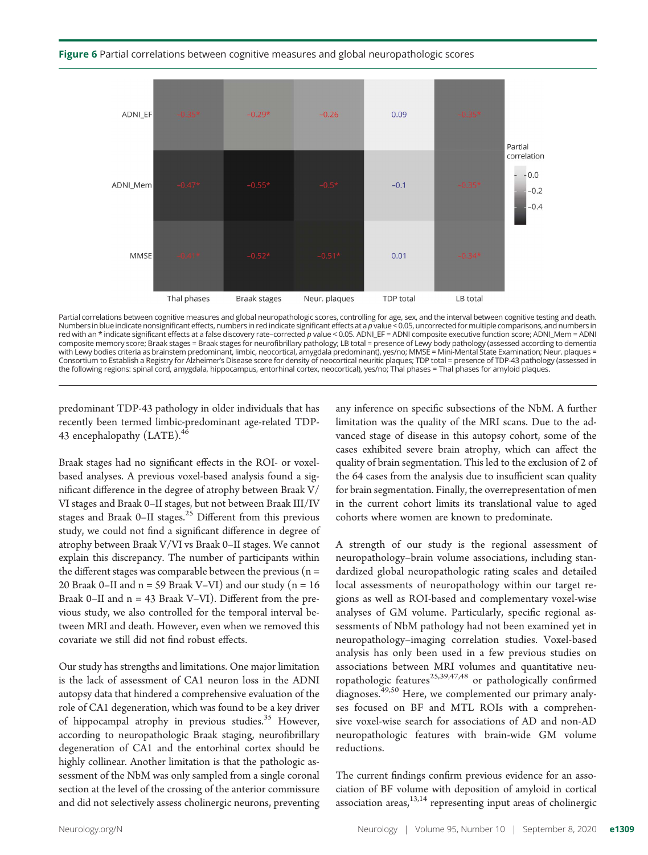#### Figure 6 Partial correlations between cognitive measures and global neuropathologic scores



Partial correlations between cognitive measures and global neuropathologic scores, controlling for age, sex, and the interval between cognitive testing and death.<br>Numbers in blue indicate nonsignificant effects, numbers in composite memory score; Braak stages = Braak stages for neurofibrillary pathology; LB total = presence of Lewy body pathology (assessed according to dementia with Lewy bodies criteria as brainstem predominant, limbic, neocortical, amygdala predominant), yes/no; MMSE = Mini-Mental State Examination; Neur. plaques = Consortium to Establish a Registry for Alzheimer's Disease score for density of neocortical neuritic plaques; TDP total = presence of TDP-43 pathology (assessed in the following regions: spinal cord, amygdala, hippocampus, entorhinal cortex, neocortical), yes/no; Thal phases = Thal phases for amyloid plaques.

predominant TDP-43 pathology in older individuals that has recently been termed limbic-predominant age-related TDP-43 encephalopathy (LATE).<sup>46</sup>

Braak stages had no significant effects in the ROI- or voxelbased analyses. A previous voxel-based analysis found a significant difference in the degree of atrophy between Braak V/ VI stages and Braak 0–II stages, but not between Braak III/IV stages and Braak 0–II stages.<sup>25</sup> Different from this previous study, we could not find a significant difference in degree of atrophy between Braak V/VI vs Braak 0–II stages. We cannot explain this discrepancy. The number of participants within the different stages was comparable between the previous ( $n =$ 20 Braak 0–II and  $n = 59$  Braak V–VI) and our study ( $n = 16$ Braak 0–II and  $n = 43$  Braak V–VI). Different from the previous study, we also controlled for the temporal interval between MRI and death. However, even when we removed this covariate we still did not find robust effects.

Our study has strengths and limitations. One major limitation is the lack of assessment of CA1 neuron loss in the ADNI autopsy data that hindered a comprehensive evaluation of the role of CA1 degeneration, which was found to be a key driver of hippocampal atrophy in previous studies.<sup>35</sup> However, according to neuropathologic Braak staging, neurofibrillary degeneration of CA1 and the entorhinal cortex should be highly collinear. Another limitation is that the pathologic assessment of the NbM was only sampled from a single coronal section at the level of the crossing of the anterior commissure and did not selectively assess cholinergic neurons, preventing any inference on specific subsections of the NbM. A further limitation was the quality of the MRI scans. Due to the advanced stage of disease in this autopsy cohort, some of the cases exhibited severe brain atrophy, which can affect the quality of brain segmentation. This led to the exclusion of 2 of the 64 cases from the analysis due to insufficient scan quality for brain segmentation. Finally, the overrepresentation of men in the current cohort limits its translational value to aged cohorts where women are known to predominate.

A strength of our study is the regional assessment of neuropathology–brain volume associations, including standardized global neuropathologic rating scales and detailed local assessments of neuropathology within our target regions as well as ROI-based and complementary voxel-wise analyses of GM volume. Particularly, specific regional assessments of NbM pathology had not been examined yet in neuropathology–imaging correlation studies. Voxel-based analysis has only been used in a few previous studies on associations between MRI volumes and quantitative neuropathologic features<sup>25,39,47,48</sup> or pathologically confirmed diagnoses.<sup>49,50</sup> Here, we complemented our primary analyses focused on BF and MTL ROIs with a comprehensive voxel-wise search for associations of AD and non-AD neuropathologic features with brain-wide GM volume reductions.

The current findings confirm previous evidence for an association of BF volume with deposition of amyloid in cortical association areas, $13,14$  representing input areas of cholinergic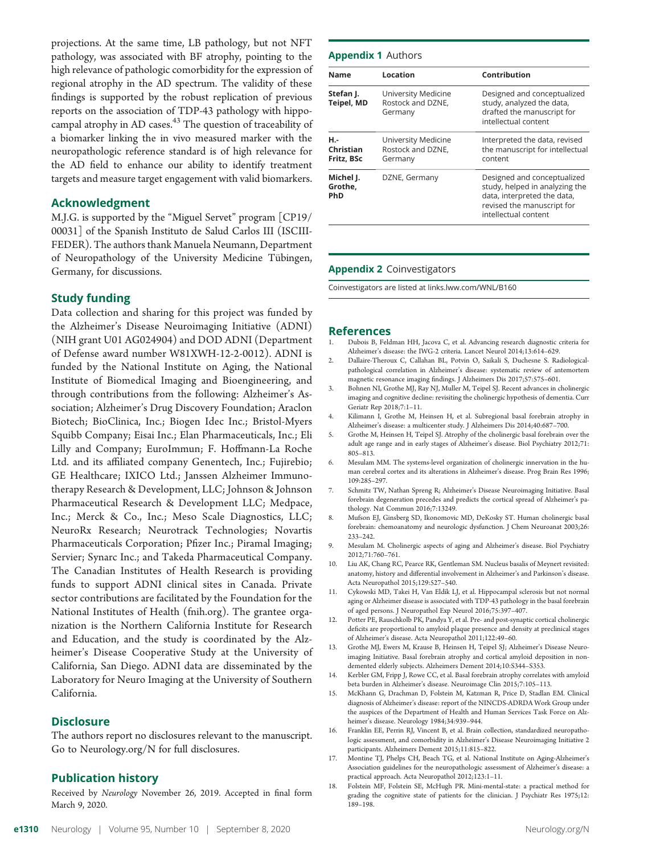projections. At the same time, LB pathology, but not NFT pathology, was associated with BF atrophy, pointing to the high relevance of pathologic comorbidity for the expression of regional atrophy in the AD spectrum. The validity of these findings is supported by the robust replication of previous reports on the association of TDP-43 pathology with hippocampal atrophy in AD cases. $43$  The question of traceability of a biomarker linking the in vivo measured marker with the neuropathologic reference standard is of high relevance for the AD field to enhance our ability to identify treatment targets and measure target engagement with valid biomarkers.

#### Acknowledgment

M.J.G. is supported by the "Miguel Servet" program [CP19/ 00031] of the Spanish Instituto de Salud Carlos III (ISCIII-FEDER). The authors thank Manuela Neumann, Department of Neuropathology of the University Medicine Tübingen, Germany, for discussions.

#### Study funding

Data collection and sharing for this project was funded by the Alzheimer's Disease Neuroimaging Initiative (ADNI) (NIH grant U01 AG024904) and DOD ADNI (Department of Defense award number W81XWH-12-2-0012). ADNI is funded by the National Institute on Aging, the National Institute of Biomedical Imaging and Bioengineering, and through contributions from the following: Alzheimer's Association; Alzheimer's Drug Discovery Foundation; Araclon Biotech; BioClinica, Inc.; Biogen Idec Inc.; Bristol-Myers Squibb Company; Eisai Inc.; Elan Pharmaceuticals, Inc.; Eli Lilly and Company; EuroImmun; F. Hoffmann-La Roche Ltd. and its affiliated company Genentech, Inc.; Fujirebio; GE Healthcare; IXICO Ltd.; Janssen Alzheimer Immunotherapy Research & Development, LLC; Johnson & Johnson Pharmaceutical Research & Development LLC; Medpace, Inc.; Merck & Co., Inc.; Meso Scale Diagnostics, LLC; NeuroRx Research; Neurotrack Technologies; Novartis Pharmaceuticals Corporation; Pfizer Inc.; Piramal Imaging; Servier; Synarc Inc.; and Takeda Pharmaceutical Company. The Canadian Institutes of Health Research is providing funds to support ADNI clinical sites in Canada. Private sector contributions are facilitated by the Foundation for the National Institutes of Health ([fnih.org](http://www.fnih.org)). The grantee organization is the Northern California Institute for Research and Education, and the study is coordinated by the Alzheimer's Disease Cooperative Study at the University of California, San Diego. ADNI data are disseminated by the Laboratory for Neuro Imaging at the University of Southern California.

#### **Disclosure**

The authors report no disclosures relevant to the manuscript. Go to [Neurology.org/N](https://n.neurology.org/lookup/doi/10.1212/WNL.0000000000010192) for full disclosures.

#### Publication history

Received by Neurology November 26, 2019. Accepted in final form March 9, 2020.

| <b>Name</b>                    | Location                                            | Contribution                                                                                                                                       |  |
|--------------------------------|-----------------------------------------------------|----------------------------------------------------------------------------------------------------------------------------------------------------|--|
| Stefan J.<br>Teipel, MD        | University Medicine<br>Rostock and DZNE.<br>Germany | Designed and conceptualized<br>study, analyzed the data,<br>drafted the manuscript for<br>intellectual content                                     |  |
| н.-<br>Christian<br>Fritz, BSc | University Medicine<br>Rostock and DZNE,<br>Germany | Interpreted the data, revised<br>the manuscript for intellectual<br>content                                                                        |  |
| Michel J.<br>Grothe,<br>PhD    | DZNE, Germany                                       | Designed and conceptualized<br>study, helped in analyzing the<br>data, interpreted the data,<br>revised the manuscript for<br>intellectual content |  |

#### Appendix 2 Coinvestigators

Coinvestigators are listed at [links.lww.com/WNL/B160](http://links.lww.com/WNL/B160)

#### References

- 1. Dubois B, Feldman HH, Jacova C, et al. Advancing research diagnostic criteria for Alzheimer's disease: the IWG-2 criteria. Lancet Neurol 2014;13:614–629.
- 2. Dallaire-Theroux C, Callahan BL, Potvin O, Saikali S, Duchesne S. Radiologicalpathological correlation in Alzheimer's disease: systematic review of antemortem magnetic resonance imaging findings. J Alzheimers Dis 2017;57:575–601.
- 3. Bohnen NI, Grothe MJ, Ray NJ, Muller M, Teipel SJ. Recent advances in cholinergic imaging and cognitive decline: revisiting the cholinergic hypothesis of dementia. Curr Geriatr Rep 2018;7:1–11.
- 4. Kilimann I, Grothe M, Heinsen H, et al. Subregional basal forebrain atrophy in Alzheimer's disease: a multicenter study. J Alzheimers Dis 2014;40:687–700.
- 5. Grothe M, Heinsen H, Teipel SJ. Atrophy of the cholinergic basal forebrain over the adult age range and in early stages of Alzheimer's disease. Biol Psychiatry 2012;71: 805–813.
- 6. Mesulam MM. The systems-level organization of cholinergic innervation in the human cerebral cortex and its alterations in Alzheimer's disease. Prog Brain Res 1996; 109:285–297.
- 7. Schmitz TW, Nathan Spreng R; Alzheimer's Disease Neuroimaging Initiative. Basal forebrain degeneration precedes and predicts the cortical spread of Alzheimer's pathology. Nat Commun 2016;7:13249.
- 8. Mufson EJ, Ginsberg SD, Ikonomovic MD, DeKosky ST. Human cholinergic basal forebrain: chemoanatomy and neurologic dysfunction. J Chem Neuroanat 2003;26: 233–242.
- 9. Mesulam M. Cholinergic aspects of aging and Alzheimer's disease. Biol Psychiatry 2012;71:760–761.
- 10. Liu AK, Chang RC, Pearce RK, Gentleman SM. Nucleus basalis of Meynert revisited: anatomy, history and differential involvement in Alzheimer's and Parkinson's disease. Acta Neuropathol 2015;129:527–540.
- 11. Cykowski MD, Takei H, Van Eldik LJ, et al. Hippocampal sclerosis but not normal aging or Alzheimer disease is associated with TDP-43 pathology in the basal forebrain of aged persons. J Neuropathol Exp Neurol 2016;75:397–407.
- 12. Potter PE, Rauschkolb PK, Pandya Y, et al. Pre- and post-synaptic cortical cholinergic deficits are proportional to amyloid plaque presence and density at preclinical stages of Alzheimer's disease. Acta Neuropathol 2011;122:49–60.
- 13. Grothe MJ, Ewers M, Krause B, Heinsen H, Teipel SJ; Alzheimer's Disease Neuroimaging Initiative. Basal forebrain atrophy and cortical amyloid deposition in nondemented elderly subjects. Alzheimers Dement 2014;10:S344–S353.
- 14. Kerbler GM, Fripp J, Rowe CC, et al. Basal forebrain atrophy correlates with amyloid beta burden in Alzheimer's disease. Neuroimage Clin 2015;7:105–113.
- 15. McKhann G, Drachman D, Folstein M, Katzman R, Price D, Stadlan EM. Clinical diagnosis of Alzheimer's disease: report of the NINCDS-ADRDA Work Group under the auspices of the Department of Health and Human Services Task Force on Alzheimer's disease. Neurology 1984;34:939–944.
- 16. Franklin EE, Perrin RJ, Vincent B, et al. Brain collection, standardized neuropathologic assessment, and comorbidity in Alzheimer's Disease Neuroimaging Initiative 2 participants. Alzheimers Dement 2015;11:815–822.
- 17. Montine TJ, Phelps CH, Beach TG, et al. National Institute on Aging-Alzheimer's Association guidelines for the neuropathologic assessment of Alzheimer's disease: a practical approach. Acta Neuropathol 2012;123:1–11.
- 18. Folstein MF, Folstein SE, McHugh PR. Mini-mental-state: a practical method for grading the cognitive state of patients for the clinician. J Psychiatr Res 1975;12: 189–198.